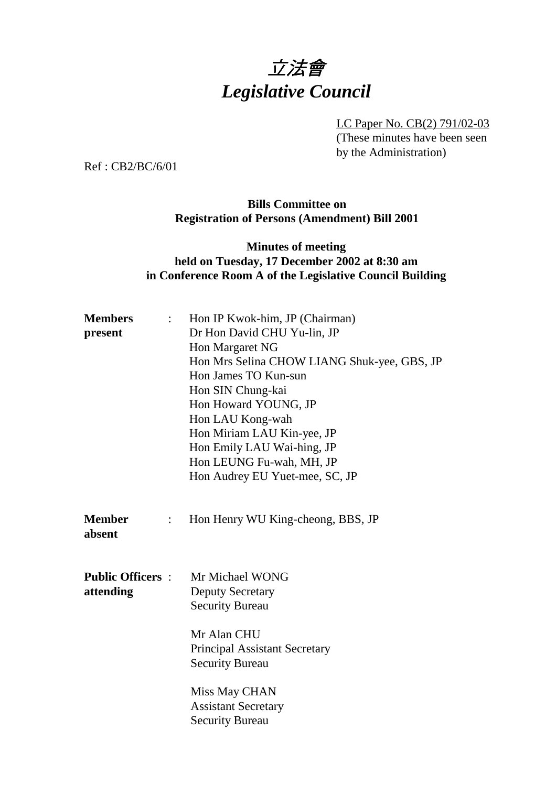# 立法會 *Legislative Council*

LC Paper No. CB(2) 791/02-03 (These minutes have been seen by the Administration)

Ref : CB2/BC/6/01

#### **Bills Committee on Registration of Persons (Amendment) Bill 2001**

#### **Minutes of meeting held on Tuesday, 17 December 2002 at 8:30 am in Conference Room A of the Legislative Council Building**

| <b>Members</b><br>$\mathbb{Z}^{\mathbb{Z}^n}$<br>present | Hon IP Kwok-him, JP (Chairman)<br>Dr Hon David CHU Yu-lin, JP<br>Hon Margaret NG<br>Hon Mrs Selina CHOW LIANG Shuk-yee, GBS, JP<br>Hon James TO Kun-sun<br>Hon SIN Chung-kai<br>Hon Howard YOUNG, JP |
|----------------------------------------------------------|------------------------------------------------------------------------------------------------------------------------------------------------------------------------------------------------------|
|                                                          | Hon LAU Kong-wah<br>Hon Miriam LAU Kin-yee, JP<br>Hon Emily LAU Wai-hing, JP<br>Hon LEUNG Fu-wah, MH, JP<br>Hon Audrey EU Yuet-mee, SC, JP                                                           |
| <b>Member</b><br>$\ddot{\cdot}$<br>absent                | Hon Henry WU King-cheong, BBS, JP                                                                                                                                                                    |
| <b>Public Officers:</b><br>attending                     | Mr Michael WONG<br><b>Deputy Secretary</b><br><b>Security Bureau</b><br>Mr Alan CHU<br><b>Principal Assistant Secretary</b><br><b>Security Bureau</b>                                                |
|                                                          | Miss May CHAN<br><b>Assistant Secretary</b><br><b>Security Bureau</b>                                                                                                                                |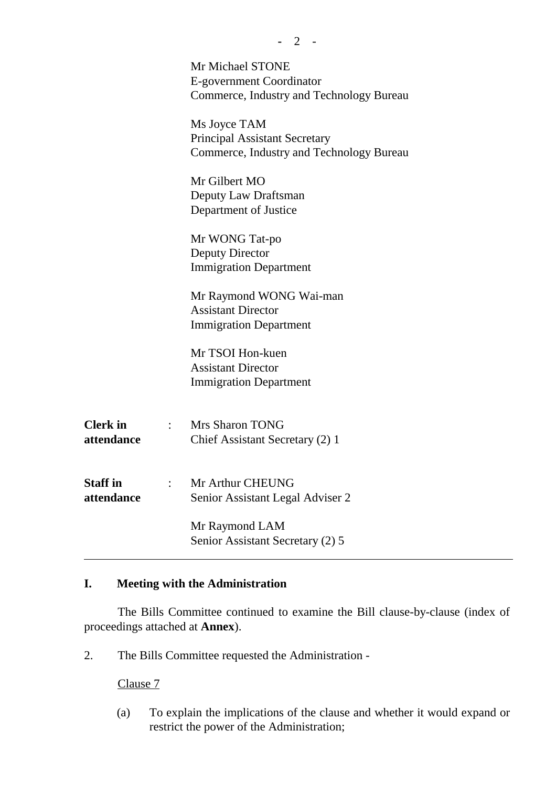|                               |                | Mr Michael STONE<br>E-government Coordinator<br>Commerce, Industry and Technology Bureau         |
|-------------------------------|----------------|--------------------------------------------------------------------------------------------------|
|                               |                | Ms Joyce TAM<br><b>Principal Assistant Secretary</b><br>Commerce, Industry and Technology Bureau |
|                               |                | Mr Gilbert MO<br>Deputy Law Draftsman<br>Department of Justice                                   |
|                               |                | Mr WONG Tat-po<br><b>Deputy Director</b><br><b>Immigration Department</b>                        |
|                               |                | Mr Raymond WONG Wai-man<br><b>Assistant Director</b><br><b>Immigration Department</b>            |
|                               |                | Mr TSOI Hon-kuen<br><b>Assistant Director</b><br><b>Immigration Department</b>                   |
| <b>Clerk</b> in<br>attendance | $\mathbb{R}^n$ | <b>Mrs Sharon TONG</b><br>Chief Assistant Secretary (2) 1                                        |
| <b>Staff</b> in<br>attendance |                | Mr Arthur CHEUNG<br>Senior Assistant Legal Adviser 2                                             |
|                               |                | Mr Raymond LAM<br>Senior Assistant Secretary (2) 5                                               |

### **I. Meeting with the Administration**

The Bills Committee continued to examine the Bill clause-by-clause (index of proceedings attached at **Annex**).

2. The Bills Committee requested the Administration -

Clause 7

(a) To explain the implications of the clause and whether it would expand or restrict the power of the Administration;

**-** 2 -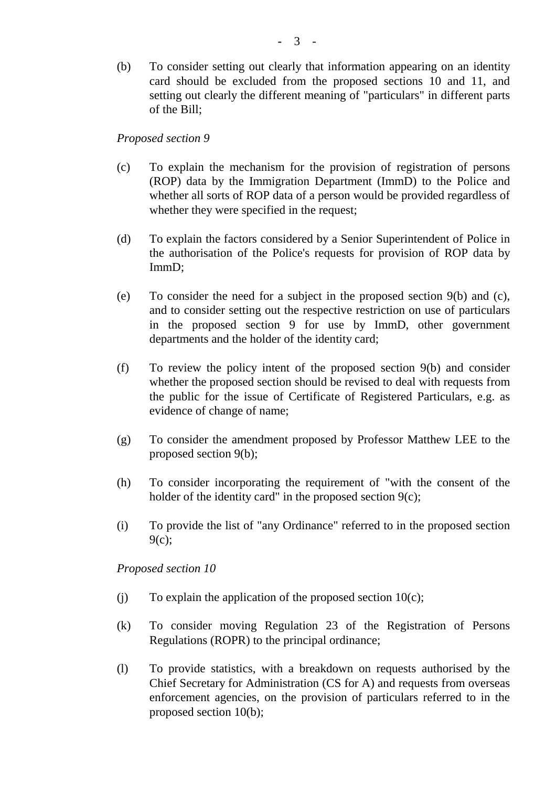(b) To consider setting out clearly that information appearing on an identity card should be excluded from the proposed sections 10 and 11, and setting out clearly the different meaning of "particulars" in different parts of the Bill;

*Proposed section 9*

- (c) To explain the mechanism for the provision of registration of persons (ROP) data by the Immigration Department (ImmD) to the Police and whether all sorts of ROP data of a person would be provided regardless of whether they were specified in the request;
- (d) To explain the factors considered by a Senior Superintendent of Police in the authorisation of the Police's requests for provision of ROP data by ImmD;
- (e) To consider the need for a subject in the proposed section 9(b) and (c), and to consider setting out the respective restriction on use of particulars in the proposed section 9 for use by ImmD, other government departments and the holder of the identity card;
- (f) To review the policy intent of the proposed section 9(b) and consider whether the proposed section should be revised to deal with requests from the public for the issue of Certificate of Registered Particulars, e.g. as evidence of change of name;
- (g) To consider the amendment proposed by Professor Matthew LEE to the proposed section 9(b);
- (h) To consider incorporating the requirement of "with the consent of the holder of the identity card" in the proposed section 9(c);
- (i) To provide the list of "any Ordinance" referred to in the proposed section 9(c);

*Proposed section 10*

- (i) To explain the application of the proposed section  $10(c)$ ;
- (k) To consider moving Regulation 23 of the Registration of Persons Regulations (ROPR) to the principal ordinance;
- (l) To provide statistics, with a breakdown on requests authorised by the Chief Secretary for Administration (CS for A) and requests from overseas enforcement agencies, on the provision of particulars referred to in the proposed section 10(b);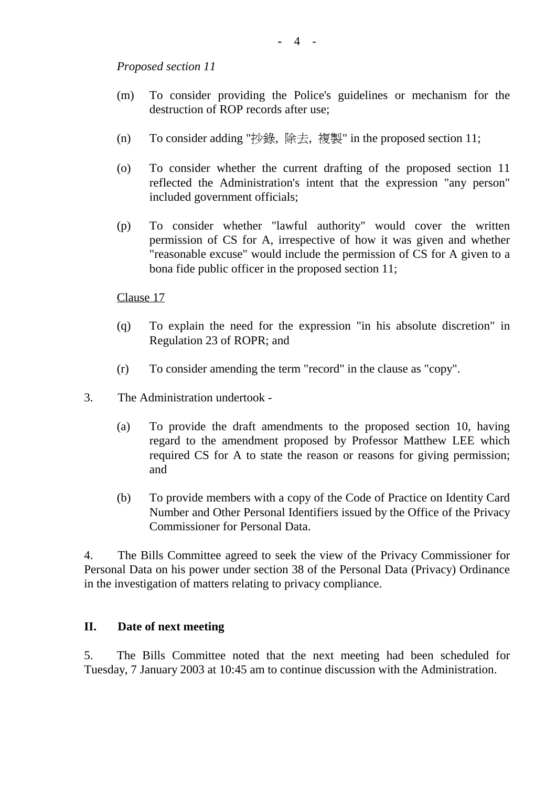*Proposed section 11*

- (m) To consider providing the Police's guidelines or mechanism for the destruction of ROP records after use;
- (n) To consider adding "抄錄, 除去, 複製" in the proposed section 11;
- (o) To consider whether the current drafting of the proposed section 11 reflected the Administration's intent that the expression "any person" included government officials;
- (p) To consider whether "lawful authority" would cover the written permission of CS for A, irrespective of how it was given and whether "reasonable excuse" would include the permission of CS for A given to a bona fide public officer in the proposed section 11;

Clause 17

- (q) To explain the need for the expression "in his absolute discretion" in Regulation 23 of ROPR; and
- (r) To consider amending the term "record" in the clause as "copy".
- 3. The Administration undertook
	- (a) To provide the draft amendments to the proposed section 10, having regard to the amendment proposed by Professor Matthew LEE which required CS for A to state the reason or reasons for giving permission; and
	- (b) To provide members with a copy of the Code of Practice on Identity Card Number and Other Personal Identifiers issued by the Office of the Privacy Commissioner for Personal Data.

4. The Bills Committee agreed to seek the view of the Privacy Commissioner for Personal Data on his power under section 38 of the Personal Data (Privacy) Ordinance in the investigation of matters relating to privacy compliance.

#### **II. Date of next meeting**

5. The Bills Committee noted that the next meeting had been scheduled for Tuesday, 7 January 2003 at 10:45 am to continue discussion with the Administration.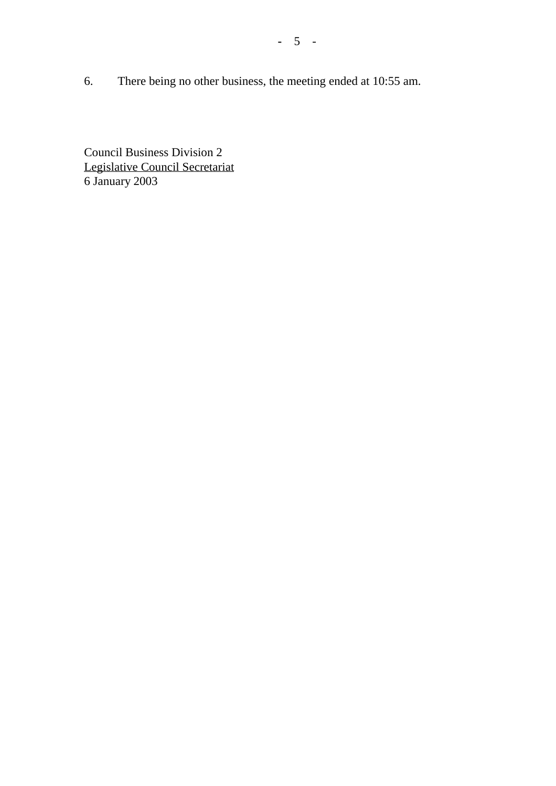6. There being no other business, the meeting ended at 10:55 am.

Council Business Division 2 Legislative Council Secretariat 6 January 2003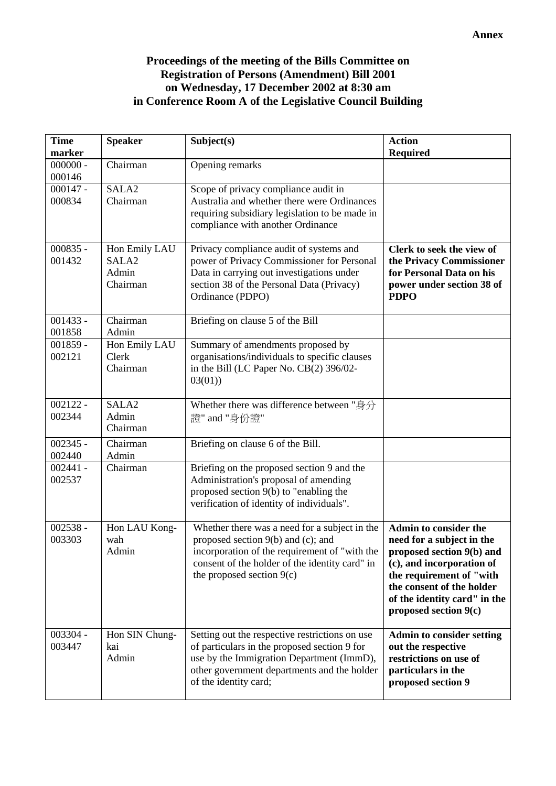#### **Proceedings of the meeting of the Bills Committee on Registration of Persons (Amendment) Bill 2001 on Wednesday, 17 December 2002 at 8:30 am in Conference Room A of the Legislative Council Building**

| <b>Time</b><br>marker | <b>Speaker</b>         | Subject(s)                                                                                    | <b>Action</b><br><b>Required</b>                          |
|-----------------------|------------------------|-----------------------------------------------------------------------------------------------|-----------------------------------------------------------|
| $000000 -$            | Chairman               | Opening remarks                                                                               |                                                           |
| 000146                |                        |                                                                                               |                                                           |
| $000147 -$            | SALA <sub>2</sub>      | Scope of privacy compliance audit in                                                          |                                                           |
| 000834                | Chairman               | Australia and whether there were Ordinances<br>requiring subsidiary legislation to be made in |                                                           |
|                       |                        | compliance with another Ordinance                                                             |                                                           |
|                       |                        |                                                                                               |                                                           |
| $000835 -$            | Hon Emily LAU          | Privacy compliance audit of systems and                                                       | Clerk to seek the view of                                 |
| 001432                | SALA <sub>2</sub>      | power of Privacy Commissioner for Personal                                                    | the Privacy Commissioner                                  |
|                       | Admin<br>Chairman      | Data in carrying out investigations under<br>section 38 of the Personal Data (Privacy)        | for Personal Data on his                                  |
|                       |                        | Ordinance (PDPO)                                                                              | power under section 38 of<br><b>PDPO</b>                  |
|                       |                        |                                                                                               |                                                           |
| $001433 -$            | Chairman               | Briefing on clause 5 of the Bill                                                              |                                                           |
| 001858                | Admin                  |                                                                                               |                                                           |
| $001859 -$            | Hon Emily LAU<br>Clerk | Summary of amendments proposed by                                                             |                                                           |
| 002121                | Chairman               | organisations/individuals to specific clauses<br>in the Bill (LC Paper No. CB(2) 396/02-      |                                                           |
|                       |                        | 03(01)                                                                                        |                                                           |
|                       |                        |                                                                                               |                                                           |
| $002122 -$            | SALA <sub>2</sub>      | Whether there was difference between "身分                                                      |                                                           |
| 002344                | Admin<br>Chairman      | 證" and "身份證"                                                                                  |                                                           |
|                       |                        |                                                                                               |                                                           |
| $002345 -$<br>002440  | Chairman<br>Admin      | Briefing on clause 6 of the Bill.                                                             |                                                           |
| $002441 -$            | Chairman               | Briefing on the proposed section 9 and the                                                    |                                                           |
| 002537                |                        | Administration's proposal of amending                                                         |                                                           |
|                       |                        | proposed section 9(b) to "enabling the                                                        |                                                           |
|                       |                        | verification of identity of individuals".                                                     |                                                           |
| $002538 -$            | Hon LAU Kong-          | Whether there was a need for a subject in the                                                 | Admin to consider the                                     |
| 003303                | wah                    | proposed section $9(b)$ and (c); and                                                          | need for a subject in the                                 |
|                       | Admin                  | incorporation of the requirement of "with the                                                 | proposed section 9(b) and                                 |
|                       |                        | consent of the holder of the identity card" in                                                | (c), and incorporation of                                 |
|                       |                        | the proposed section $9(c)$                                                                   | the requirement of "with                                  |
|                       |                        |                                                                                               | the consent of the holder<br>of the identity card" in the |
|                       |                        |                                                                                               | proposed section 9(c)                                     |
|                       |                        |                                                                                               |                                                           |
| 003304 -              | Hon SIN Chung-         | Setting out the respective restrictions on use                                                | <b>Admin to consider setting</b>                          |
| 003447                | kai                    | of particulars in the proposed section 9 for                                                  | out the respective                                        |
|                       | Admin                  | use by the Immigration Department (ImmD),<br>other government departments and the holder      | restrictions on use of<br>particulars in the              |
|                       |                        | of the identity card;                                                                         | proposed section 9                                        |
|                       |                        |                                                                                               |                                                           |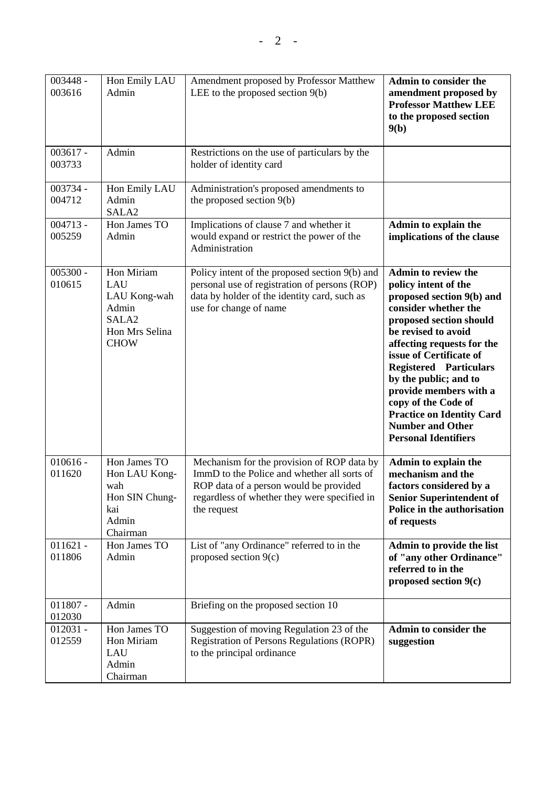| 003448 -<br>003616   | Hon Emily LAU<br>Admin                                                                           | Amendment proposed by Professor Matthew<br>LEE to the proposed section $9(b)$                                                                                                                      | Admin to consider the<br>amendment proposed by<br><b>Professor Matthew LEE</b><br>to the proposed section<br>9(b)                                                                                                                                                                                                                                                                                                           |
|----------------------|--------------------------------------------------------------------------------------------------|----------------------------------------------------------------------------------------------------------------------------------------------------------------------------------------------------|-----------------------------------------------------------------------------------------------------------------------------------------------------------------------------------------------------------------------------------------------------------------------------------------------------------------------------------------------------------------------------------------------------------------------------|
| $003617 -$<br>003733 | Admin                                                                                            | Restrictions on the use of particulars by the<br>holder of identity card                                                                                                                           |                                                                                                                                                                                                                                                                                                                                                                                                                             |
| 003734 -<br>004712   | Hon Emily LAU<br>Admin<br>SALA <sub>2</sub>                                                      | Administration's proposed amendments to<br>the proposed section 9(b)                                                                                                                               |                                                                                                                                                                                                                                                                                                                                                                                                                             |
| $004713 -$<br>005259 | Hon James TO<br>Admin                                                                            | Implications of clause 7 and whether it<br>would expand or restrict the power of the<br>Administration                                                                                             | Admin to explain the<br>implications of the clause                                                                                                                                                                                                                                                                                                                                                                          |
| $005300 -$<br>010615 | Hon Miriam<br>LAU<br>LAU Kong-wah<br>Admin<br>SALA <sub>2</sub><br>Hon Mrs Selina<br><b>CHOW</b> | Policy intent of the proposed section 9(b) and<br>personal use of registration of persons (ROP)<br>data by holder of the identity card, such as<br>use for change of name                          | <b>Admin to review the</b><br>policy intent of the<br>proposed section 9(b) and<br>consider whether the<br>proposed section should<br>be revised to avoid<br>affecting requests for the<br>issue of Certificate of<br><b>Registered Particulars</b><br>by the public; and to<br>provide members with a<br>copy of the Code of<br><b>Practice on Identity Card</b><br><b>Number and Other</b><br><b>Personal Identifiers</b> |
| $010616 -$<br>011620 | Hon James TO<br>Hon LAU Kong-<br>wah<br>Hon SIN Chung-<br>kai<br>Admin<br>Chairman               | Mechanism for the provision of ROP data by<br>ImmD to the Police and whether all sorts of<br>ROP data of a person would be provided<br>regardless of whether they were specified in<br>the request | Admin to explain the<br>mechanism and the<br>factors considered by a<br><b>Senior Superintendent of</b><br>Police in the authorisation<br>of requests                                                                                                                                                                                                                                                                       |
| $011621 -$<br>011806 | Hon James TO<br>Admin                                                                            | List of "any Ordinance" referred to in the<br>proposed section $9(c)$                                                                                                                              | Admin to provide the list<br>of "any other Ordinance"<br>referred to in the<br>proposed section $9(c)$                                                                                                                                                                                                                                                                                                                      |
| $011807 -$<br>012030 | Admin                                                                                            | Briefing on the proposed section 10                                                                                                                                                                |                                                                                                                                                                                                                                                                                                                                                                                                                             |
| $012031 -$<br>012559 | Hon James TO<br>Hon Miriam<br>LAU<br>Admin<br>Chairman                                           | Suggestion of moving Regulation 23 of the<br>Registration of Persons Regulations (ROPR)<br>to the principal ordinance                                                                              | Admin to consider the<br>suggestion                                                                                                                                                                                                                                                                                                                                                                                         |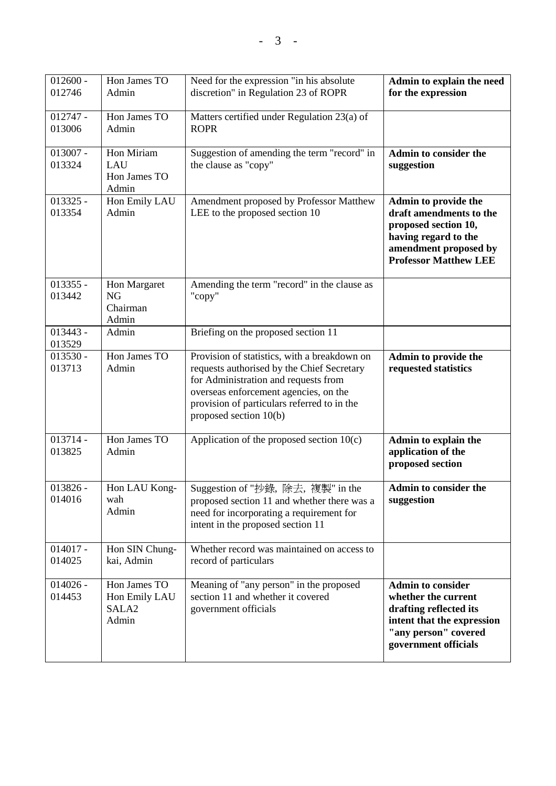| $012600 -$<br>012746 | Hon James TO<br>Admin                                       | Need for the expression "in his absolute<br>discretion" in Regulation 23 of ROPR                                                                                                                                                                     | Admin to explain the need<br>for the expression                                                                                                          |
|----------------------|-------------------------------------------------------------|------------------------------------------------------------------------------------------------------------------------------------------------------------------------------------------------------------------------------------------------------|----------------------------------------------------------------------------------------------------------------------------------------------------------|
| $012747 -$<br>013006 | Hon James TO<br>Admin                                       | Matters certified under Regulation 23(a) of<br><b>ROPR</b>                                                                                                                                                                                           |                                                                                                                                                          |
| $013007 -$<br>013324 | Hon Miriam<br>LAU<br>Hon James TO<br>Admin                  | Suggestion of amending the term "record" in<br>the clause as "copy"                                                                                                                                                                                  | Admin to consider the<br>suggestion                                                                                                                      |
| $013325 -$<br>013354 | Hon Emily LAU<br>Admin                                      | Amendment proposed by Professor Matthew<br>LEE to the proposed section 10                                                                                                                                                                            | Admin to provide the<br>draft amendments to the<br>proposed section 10,<br>having regard to the<br>amendment proposed by<br><b>Professor Matthew LEE</b> |
| $013355 -$<br>013442 | Hon Margaret<br>NG<br>Chairman<br>Admin                     | Amending the term "record" in the clause as<br>"copy"                                                                                                                                                                                                |                                                                                                                                                          |
| $013443 -$<br>013529 | Admin                                                       | Briefing on the proposed section 11                                                                                                                                                                                                                  |                                                                                                                                                          |
| $013530 -$<br>013713 | Hon James TO<br>Admin                                       | Provision of statistics, with a breakdown on<br>requests authorised by the Chief Secretary<br>for Administration and requests from<br>overseas enforcement agencies, on the<br>provision of particulars referred to in the<br>proposed section 10(b) | Admin to provide the<br>requested statistics                                                                                                             |
| $013714 -$<br>013825 | Hon James TO<br>Admin                                       | Application of the proposed section 10(c)                                                                                                                                                                                                            | Admin to explain the<br>application of the<br>proposed section                                                                                           |
| $013826 -$<br>014016 | Hon LAU Kong-<br>wah<br>Admin                               | Suggestion of "抄錄, 除去, 複製" in the<br>proposed section 11 and whether there was a<br>need for incorporating a requirement for<br>intent in the proposed section 11                                                                                    | <b>Admin to consider the</b><br>suggestion                                                                                                               |
| $014017 -$<br>014025 | Hon SIN Chung-<br>kai, Admin                                | Whether record was maintained on access to<br>record of particulars                                                                                                                                                                                  |                                                                                                                                                          |
| $014026 -$<br>014453 | Hon James TO<br>Hon Emily LAU<br>SALA <sub>2</sub><br>Admin | Meaning of "any person" in the proposed<br>section 11 and whether it covered<br>government officials                                                                                                                                                 | <b>Admin to consider</b><br>whether the current<br>drafting reflected its<br>intent that the expression<br>"any person" covered<br>government officials  |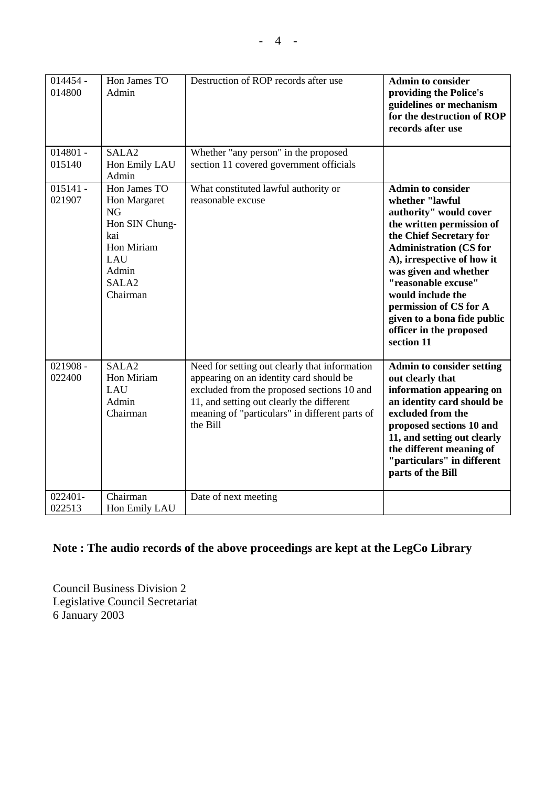| $014454 -$<br>014800 | Hon James TO<br>Admin                                                                                                             | Destruction of ROP records after use                                                                                                                                                                                                              | <b>Admin to consider</b><br>providing the Police's<br>guidelines or mechanism<br>for the destruction of ROP<br>records after use                                                                                                                                                                                                                                    |
|----------------------|-----------------------------------------------------------------------------------------------------------------------------------|---------------------------------------------------------------------------------------------------------------------------------------------------------------------------------------------------------------------------------------------------|---------------------------------------------------------------------------------------------------------------------------------------------------------------------------------------------------------------------------------------------------------------------------------------------------------------------------------------------------------------------|
| $014801 -$<br>015140 | SALA <sub>2</sub><br>Hon Emily LAU<br>Admin                                                                                       | Whether "any person" in the proposed<br>section 11 covered government officials                                                                                                                                                                   |                                                                                                                                                                                                                                                                                                                                                                     |
| $015141 -$<br>021907 | Hon James TO<br>Hon Margaret<br><b>NG</b><br>Hon SIN Chung-<br>kai<br>Hon Miriam<br>LAU<br>Admin<br>SALA <sub>2</sub><br>Chairman | What constituted lawful authority or<br>reasonable excuse                                                                                                                                                                                         | <b>Admin to consider</b><br>whether "lawful<br>authority" would cover<br>the written permission of<br>the Chief Secretary for<br><b>Administration (CS for</b><br>A), irrespective of how it<br>was given and whether<br>"reasonable excuse"<br>would include the<br>permission of CS for A<br>given to a bona fide public<br>officer in the proposed<br>section 11 |
| $021908 -$<br>022400 | SALA <sub>2</sub><br>Hon Miriam<br>LAU<br>Admin<br>Chairman                                                                       | Need for setting out clearly that information<br>appearing on an identity card should be<br>excluded from the proposed sections 10 and<br>11, and setting out clearly the different<br>meaning of "particulars" in different parts of<br>the Bill | <b>Admin to consider setting</b><br>out clearly that<br>information appearing on<br>an identity card should be<br>excluded from the<br>proposed sections 10 and<br>11, and setting out clearly<br>the different meaning of<br>"particulars" in different<br>parts of the Bill                                                                                       |
| 022401-<br>022513    | Chairman<br>Hon Emily LAU                                                                                                         | Date of next meeting                                                                                                                                                                                                                              |                                                                                                                                                                                                                                                                                                                                                                     |

## **Note : The audio records of the above proceedings are kept at the LegCo Library**

Council Business Division 2 Legislative Council Secretariat 6 January 2003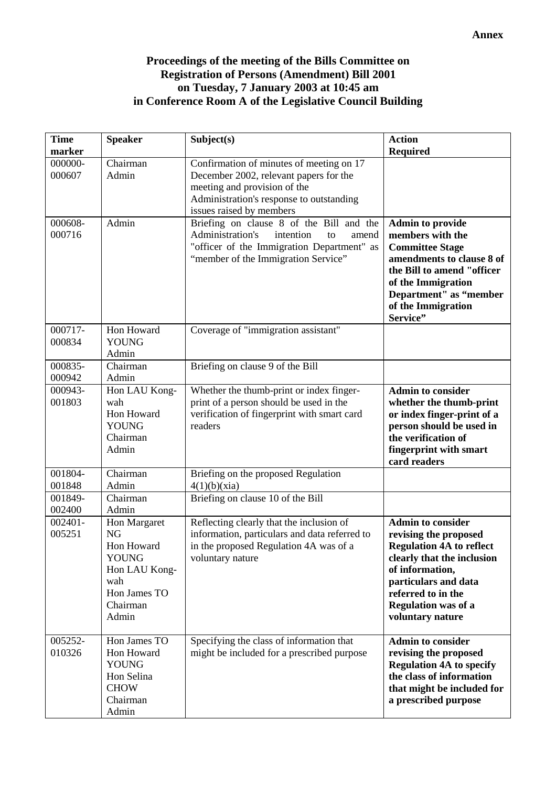#### **Proceedings of the meeting of the Bills Committee on Registration of Persons (Amendment) Bill 2001 on Tuesday, 7 January 2003 at 10:45 am in Conference Room A of the Legislative Council Building**

| <b>Time</b><br>marker | <b>Speaker</b>                                                                                                       | Subject(s)                                                                                                                                                                                 | <b>Action</b><br><b>Required</b>                                                                                                                                                                                                      |
|-----------------------|----------------------------------------------------------------------------------------------------------------------|--------------------------------------------------------------------------------------------------------------------------------------------------------------------------------------------|---------------------------------------------------------------------------------------------------------------------------------------------------------------------------------------------------------------------------------------|
| 000000-<br>000607     | Chairman<br>Admin                                                                                                    | Confirmation of minutes of meeting on 17<br>December 2002, relevant papers for the<br>meeting and provision of the<br>Administration's response to outstanding<br>issues raised by members |                                                                                                                                                                                                                                       |
| 000608-<br>000716     | Admin                                                                                                                | Briefing on clause 8 of the Bill and the<br>Administration's<br>intention<br>amend<br>to<br>"officer of the Immigration Department" as<br>"member of the Immigration Service"              | <b>Admin to provide</b><br>members with the<br><b>Committee Stage</b><br>amendments to clause 8 of<br>the Bill to amend "officer<br>of the Immigration<br>Department" as "member<br>of the Immigration<br>Service"                    |
| 000717-<br>000834     | Hon Howard<br><b>YOUNG</b><br>Admin                                                                                  | Coverage of "immigration assistant"                                                                                                                                                        |                                                                                                                                                                                                                                       |
| 000835-<br>000942     | Chairman<br>Admin                                                                                                    | Briefing on clause 9 of the Bill                                                                                                                                                           |                                                                                                                                                                                                                                       |
| 000943-<br>001803     | Hon LAU Kong-<br>wah<br>Hon Howard<br><b>YOUNG</b><br>Chairman<br>Admin                                              | Whether the thumb-print or index finger-<br>print of a person should be used in the<br>verification of fingerprint with smart card<br>readers                                              | <b>Admin to consider</b><br>whether the thumb-print<br>or index finger-print of a<br>person should be used in<br>the verification of<br>fingerprint with smart<br>card readers                                                        |
| 001804-<br>001848     | Chairman<br>Admin                                                                                                    | Briefing on the proposed Regulation<br>4(1)(b)(xia)                                                                                                                                        |                                                                                                                                                                                                                                       |
| 001849-<br>002400     | Chairman<br>Admin                                                                                                    | Briefing on clause 10 of the Bill                                                                                                                                                          |                                                                                                                                                                                                                                       |
| $002401 -$<br>005251  | Hon Margaret<br><b>NG</b><br>Hon Howard<br><b>YOUNG</b><br>Hon LAU Kong-<br>wah<br>Hon James TO<br>Chairman<br>Admin | Reflecting clearly that the inclusion of<br>information, particulars and data referred to<br>in the proposed Regulation 4A was of a<br>voluntary nature                                    | <b>Admin to consider</b><br>revising the proposed<br><b>Regulation 4A to reflect</b><br>clearly that the inclusion<br>of information,<br>particulars and data<br>referred to in the<br><b>Regulation was of a</b><br>voluntary nature |
| 005252-<br>010326     | Hon James TO<br>Hon Howard<br><b>YOUNG</b><br>Hon Selina<br><b>CHOW</b><br>Chairman<br>Admin                         | Specifying the class of information that<br>might be included for a prescribed purpose                                                                                                     | <b>Admin to consider</b><br>revising the proposed<br><b>Regulation 4A to specify</b><br>the class of information<br>that might be included for<br>a prescribed purpose                                                                |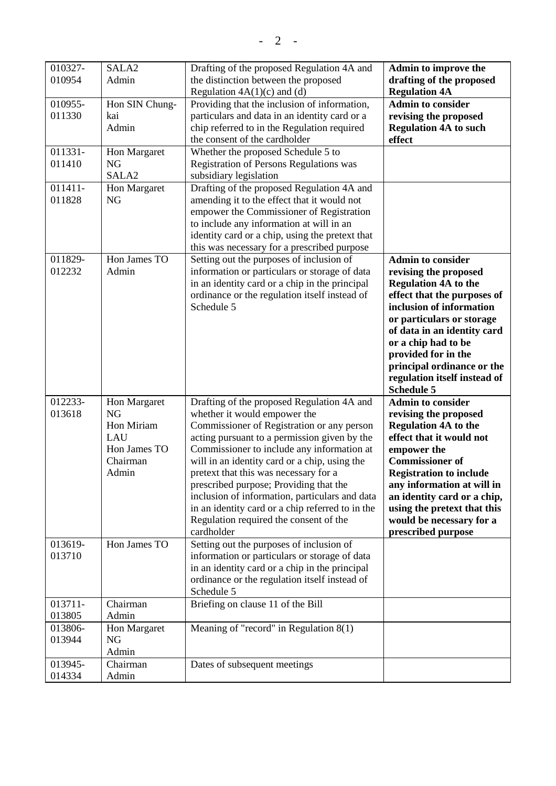$- 2 -$ 

| 010327-<br>010954 | SALA <sub>2</sub><br>Admin                                                          | Drafting of the proposed Regulation 4A and<br>the distinction between the proposed<br>Regulation $4A(1)(c)$ and (d)                                                                                                                                                                                                                                                                                                                                                                                                      | Admin to improve the<br>drafting of the proposed<br><b>Regulation 4A</b>                                                                                                                                                                                                                                                                 |
|-------------------|-------------------------------------------------------------------------------------|--------------------------------------------------------------------------------------------------------------------------------------------------------------------------------------------------------------------------------------------------------------------------------------------------------------------------------------------------------------------------------------------------------------------------------------------------------------------------------------------------------------------------|------------------------------------------------------------------------------------------------------------------------------------------------------------------------------------------------------------------------------------------------------------------------------------------------------------------------------------------|
| 010955-<br>011330 | Hon SIN Chung-<br>kai<br>Admin                                                      | Providing that the inclusion of information,<br>particulars and data in an identity card or a<br>chip referred to in the Regulation required<br>the consent of the cardholder                                                                                                                                                                                                                                                                                                                                            | <b>Admin to consider</b><br>revising the proposed<br><b>Regulation 4A to such</b><br>effect                                                                                                                                                                                                                                              |
| 011331-<br>011410 | Hon Margaret<br><b>NG</b><br>SALA <sub>2</sub>                                      | Whether the proposed Schedule 5 to<br>Registration of Persons Regulations was<br>subsidiary legislation                                                                                                                                                                                                                                                                                                                                                                                                                  |                                                                                                                                                                                                                                                                                                                                          |
| 011411-<br>011828 | Hon Margaret<br>NG                                                                  | Drafting of the proposed Regulation 4A and<br>amending it to the effect that it would not<br>empower the Commissioner of Registration<br>to include any information at will in an<br>identity card or a chip, using the pretext that<br>this was necessary for a prescribed purpose                                                                                                                                                                                                                                      |                                                                                                                                                                                                                                                                                                                                          |
| 011829-<br>012232 | Hon James TO<br>Admin                                                               | Setting out the purposes of inclusion of<br>information or particulars or storage of data<br>in an identity card or a chip in the principal<br>ordinance or the regulation itself instead of<br>Schedule 5                                                                                                                                                                                                                                                                                                               | <b>Admin to consider</b><br>revising the proposed<br><b>Regulation 4A to the</b><br>effect that the purposes of<br>inclusion of information<br>or particulars or storage<br>of data in an identity card<br>or a chip had to be<br>provided for in the<br>principal ordinance or the<br>regulation itself instead of<br><b>Schedule 5</b> |
| 012233-<br>013618 | Hon Margaret<br><b>NG</b><br>Hon Miriam<br>LAU<br>Hon James TO<br>Chairman<br>Admin | Drafting of the proposed Regulation 4A and<br>whether it would empower the<br>Commissioner of Registration or any person<br>acting pursuant to a permission given by the<br>Commissioner to include any information at<br>will in an identity card or a chip, using the<br>pretext that this was necessary for a<br>prescribed purpose; Providing that the<br>inclusion of information, particulars and data<br>in an identity card or a chip referred to in the<br>Regulation required the consent of the<br>cardholder | <b>Admin to consider</b><br>revising the proposed<br><b>Regulation 4A to the</b><br>effect that it would not<br>empower the<br><b>Commissioner of</b><br><b>Registration to include</b><br>any information at will in<br>an identity card or a chip,<br>using the pretext that this<br>would be necessary for a<br>prescribed purpose    |
| 013619-<br>013710 | Hon James TO                                                                        | Setting out the purposes of inclusion of<br>information or particulars or storage of data<br>in an identity card or a chip in the principal<br>ordinance or the regulation itself instead of<br>Schedule 5                                                                                                                                                                                                                                                                                                               |                                                                                                                                                                                                                                                                                                                                          |
| 013711-<br>013805 | Chairman<br>Admin                                                                   | Briefing on clause 11 of the Bill                                                                                                                                                                                                                                                                                                                                                                                                                                                                                        |                                                                                                                                                                                                                                                                                                                                          |
| 013806-<br>013944 | Hon Margaret<br>NG<br>Admin                                                         | Meaning of "record" in Regulation $8(1)$                                                                                                                                                                                                                                                                                                                                                                                                                                                                                 |                                                                                                                                                                                                                                                                                                                                          |
| 013945-<br>014334 | Chairman<br>Admin                                                                   | Dates of subsequent meetings                                                                                                                                                                                                                                                                                                                                                                                                                                                                                             |                                                                                                                                                                                                                                                                                                                                          |